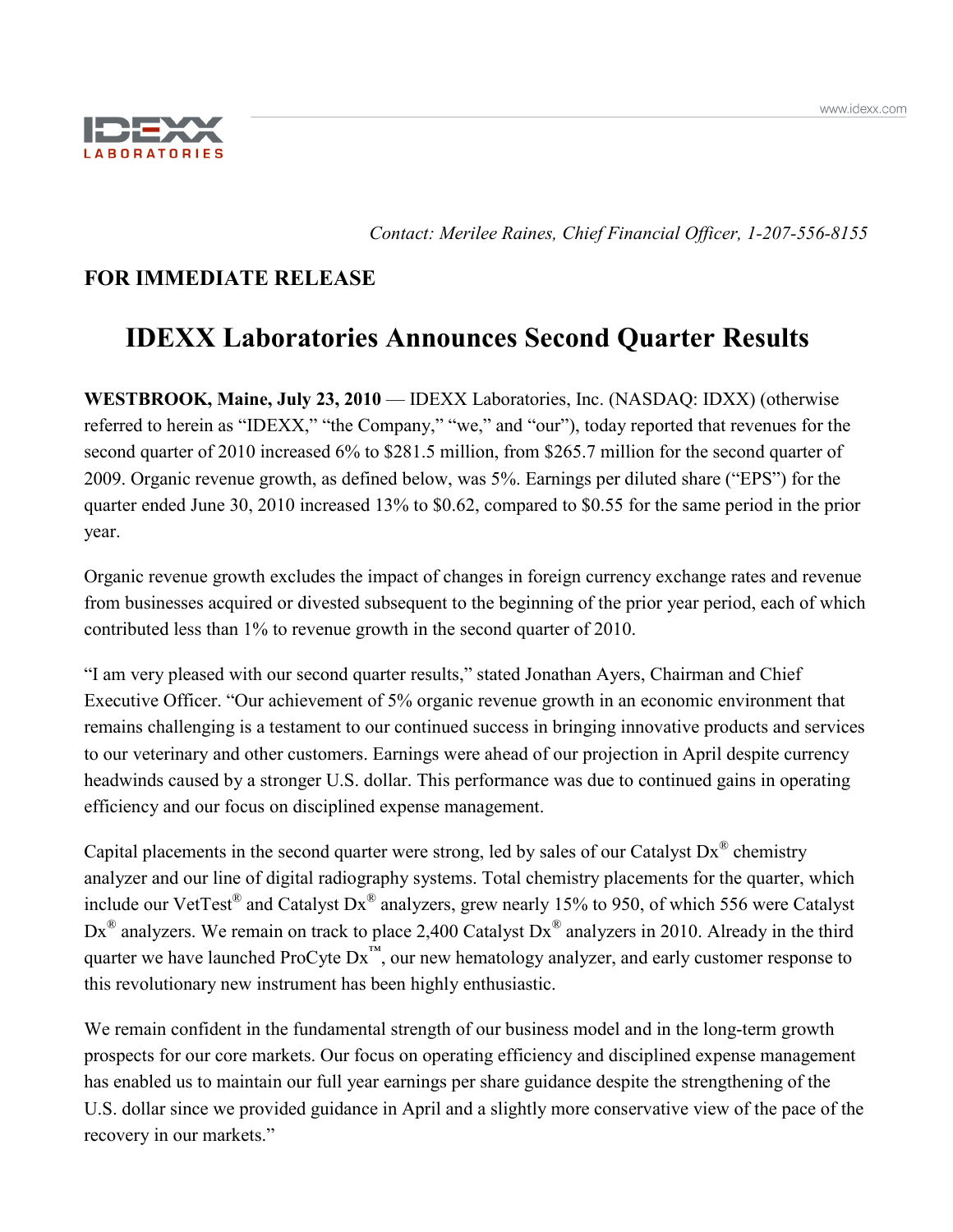

*Contact: Merilee Raines, Chief Financial Officer, 1-207-556-8155*

# **FOR IMMEDIATE RELEASE**

# **IDEXX Laboratories Announces Second Quarter Results**

**WESTBROOK, Maine, July 23, 2010** — IDEXX Laboratories, Inc. (NASDAQ: IDXX) (otherwise referred to herein as "IDEXX," "the Company," "we," and "our"), today reported that revenues for the second quarter of 2010 increased 6% to \$281.5 million, from \$265.7 million for the second quarter of 2009. Organic revenue growth, as defined below, was 5%. Earnings per diluted share ("EPS") for the quarter ended June 30, 2010 increased 13% to \$0.62, compared to \$0.55 for the same period in the prior year.

Organic revenue growth excludes the impact of changes in foreign currency exchange rates and revenue from businesses acquired or divested subsequent to the beginning of the prior year period, each of which contributed less than 1% to revenue growth in the second quarter of 2010.

"I am very pleased with our second quarter results," stated Jonathan Ayers, Chairman and Chief Executive Officer. "Our achievement of 5% organic revenue growth in an economic environment that remains challenging is a testament to our continued success in bringing innovative products and services to our veterinary and other customers. Earnings were ahead of our projection in April despite currency headwinds caused by a stronger U.S. dollar. This performance was due to continued gains in operating efficiency and our focus on disciplined expense management.

Capital placements in the second quarter were strong, led by sales of our Catalyst Dx® chemistry analyzer and our line of digital radiography systems. Total chemistry placements for the quarter, which include our VetTest® and Catalyst Dx® analyzers, grew nearly 15% to 950, of which 556 were Catalyst Dx<sup>®</sup> analyzers. We remain on track to place 2,400 Catalyst Dx<sup>®</sup> analyzers in 2010. Already in the third quarter we have launched ProCyte  $Dx^m$ , our new hematology analyzer, and early customer response to this revolutionary new instrument has been highly enthusiastic.

We remain confident in the fundamental strength of our business model and in the long-term growth prospects for our core markets. Our focus on operating efficiency and disciplined expense management has enabled us to maintain our full year earnings per share guidance despite the strengthening of the U.S. dollar since we provided guidance in April and a slightly more conservative view of the pace of the recovery in our markets."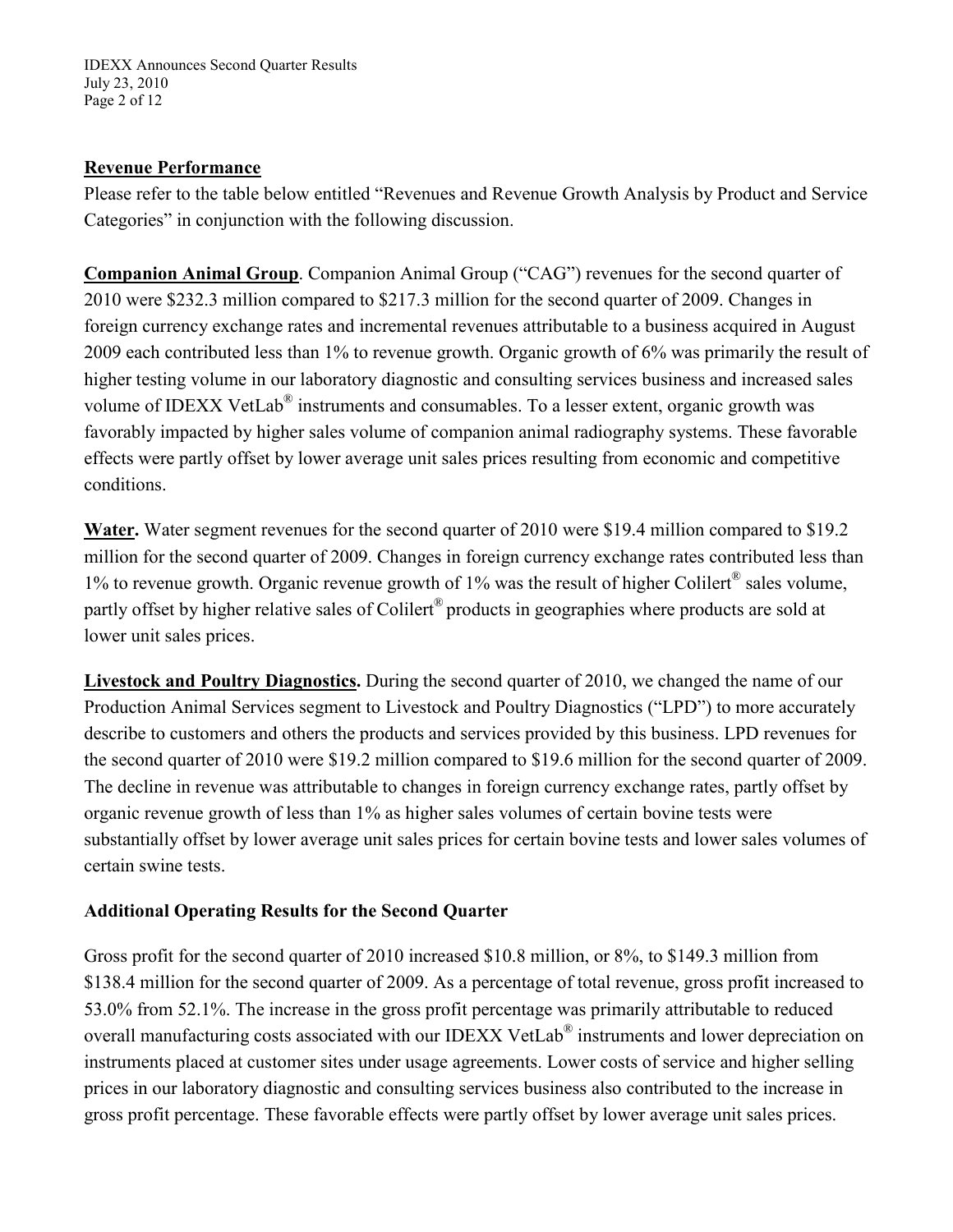# **Revenue Performance**

Please refer to the table below entitled "Revenues and Revenue Growth Analysis by Product and Service Categories" in conjunction with the following discussion.

**Companion Animal Group**. Companion Animal Group ("CAG") revenues for the second quarter of 2010 were \$232.3 million compared to \$217.3 million for the second quarter of 2009. Changes in foreign currency exchange rates and incremental revenues attributable to a business acquired in August 2009 each contributed less than 1% to revenue growth. Organic growth of 6% was primarily the result of higher testing volume in our laboratory diagnostic and consulting services business and increased sales volume of IDEXX VetLab® instruments and consumables. To a lesser extent, organic growth was favorably impacted by higher sales volume of companion animal radiography systems. These favorable effects were partly offset by lower average unit sales prices resulting from economic and competitive conditions.

**Water.** Water segment revenues for the second quarter of 2010 were \$19.4 million compared to \$19.2 million for the second quarter of 2009. Changes in foreign currency exchange rates contributed less than 1% to revenue growth. Organic revenue growth of 1% was the result of higher Colilert® sales volume, partly offset by higher relative sales of Colilert® products in geographies where products are sold at lower unit sales prices.

**Livestock and Poultry Diagnostics .** During the second quarter of 2010, we changed the name of our Production Animal Services segment to Livestock and Poultry Diagnostics ("LPD") to more accurately describe to customers and others the products and services provided by this business. LPD revenues for the second quarter of 2010 were \$19.2 million compared to \$19.6 million for the second quarter of 2009. The decline in revenue was attributable to changes in foreign currency exchange rates, partly offset by organic revenue growth of less than 1% as higher sales volumes of certain bovine tests were substantially offset by lower average unit sales prices for certain bovine tests and lower sales volumes of certain swine tests.

# **Additional Operating Results for the Second Quarter**

Gross profit for the second quarter of 2010 increased \$10.8 million, or 8%, to \$149.3 million from \$138.4 million for the second quarter of 2009. As a percentage of total revenue, gross profit increased to 53.0% from 52.1%. The increase in the gross profit percentage was primarily attributable to reduced overall manufacturing costs associated with our IDEXX VetLab<sup>®</sup> instruments and lower depreciation on instruments placed at customer sites under usage agreements. Lower costs of service and higher selling prices in our laboratory diagnostic and consulting services business also contributed to the increase in gross profit percentage. These favorable effects were partly offset by lower average unit sales prices.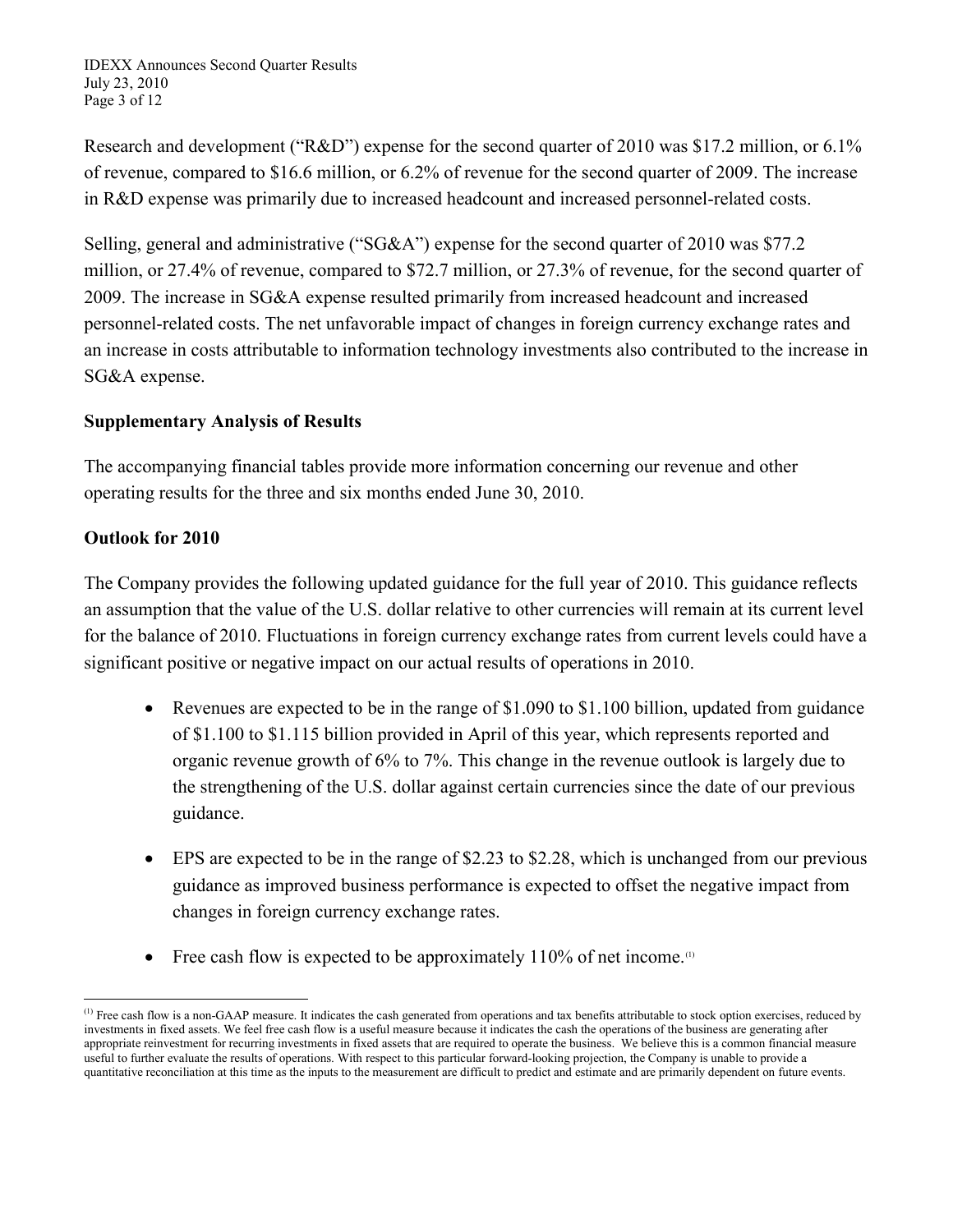IDEXX Announces Second Quarter Results July 23, 2010 Page 3 of 12

Research and development ("R&D") expense for the second quarter of 2010 was \$17.2 million, or 6.1% of revenue, compared to \$16.6 million, or 6.2% of revenue for the second quarter of 2009. The increase in R&D expense was primarily due to increased headcount and increased personnel-related costs.

Selling, general and administrative ("SG&A") expense for the second quarter of 2010 was \$77.2 million, or 27.4% of revenue, compared to \$72.7 million, or 27.3% of revenue, for the second quarter of 2009. The increase in SG&A expense resulted primarily from increased headcount and increased personnel-related costs. The net unfavorable impact of changes in foreign currency exchange rates and an increase in costs attributable to information technology investments also contributed to the increase in SG&A expense.

# **Supplementary Analysis of Results**

The accompanying financial tables provide more information concerning our revenue and other operating results for the three and six months ended June 30, 2010.

# **Outlook for 2010**

The Company provides the following updated guidance for the full year of 2010. This guidance reflects an assumption that the value of the U.S. dollar relative to other currencies will remain at its current level for the balance of 2010. Fluctuations in foreign currency exchange rates from current levels could have a significant positive or negative impact on our actual results of operations in 2010.

- Revenues are expected to be in the range of \$1.090 to \$1.100 billion, updated from guidance of \$1.100 to \$1.115 billion provided in April of this year, which represents reported and organic revenue growth of 6% to 7%. This change in the revenue outlook is largely due to the strengthening of the U.S. dollar against certain currencies since the date of our previous guidance.
- EPS are expected to be in the range of \$2.23 to \$2.28, which is unchanged from our previous guidance as improved business performance is expected to offset the negative impact from changes in foreign currency exchange rates.
- Free cash flow is expected to be approximately  $110\%$  of net income.<sup>[\(1\)](#page-2-0)</sup>

<span id="page-2-0"></span> $<sup>(1)</sup>$  Free cash flow is a non-GAAP measure. It indicates the cash generated from operations and tax benefits attributable to stock option exercises, reduced by</sup> investments in fixed assets. We feel free cash flow is a useful measure because it indicates the cash the operations of the business are generating after appropriate reinvestment for recurring investments in fixed assets that are required to operate the business. We believe this is a common financial measure useful to further evaluate the results of operations. With respect to this particular forward-looking projection, the Company is unable to provide a quantitative reconciliation at this time as the inputs to the measurement are difficult to predict and estimate and are primarily dependent on future events.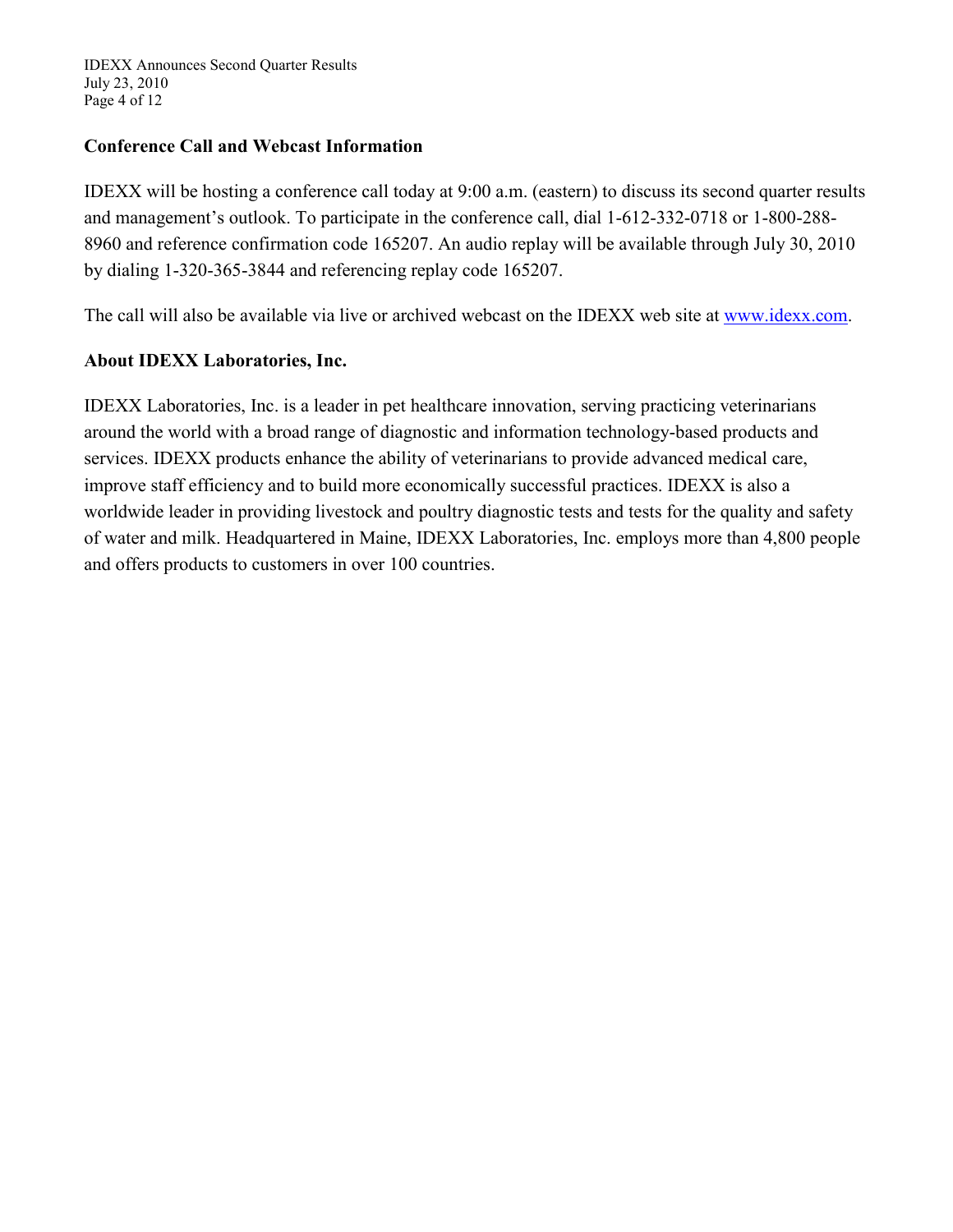IDEXX Announces Second Quarter Results July 23, 2010 Page 4 of 12

# **Conference Call and Webcast Information**

IDEXX will be hosting a conference call today at 9:00 a.m. (eastern) to discuss its second quarter results and management's outlook. To participate in the conference call, dial 1-612-332-0718 or 1-800-288- 8960 and reference confirmation code 165207. An audio replay will be available through July 30, 2010 by dialing 1-320-365-3844 and referencing replay code 165207.

The call will also be available via live or archived webcast on the IDEXX web site at [www.idexx.com.](http://www.idexx.com/)

# **About IDEXX Laboratories, Inc.**

IDEXX Laboratories, Inc. is a leader in pet healthcare innovation, serving practicing veterinarians around the world with a broad range of diagnostic and information technology-based products and services. IDEXX products enhance the ability of veterinarians to provide advanced medical care, improve staff efficiency and to build more economically successful practices. IDEXX is also a worldwide leader in providing livestock and poultry diagnostic tests and tests for the quality and safety of water and milk. Headquartered in Maine, IDEXX Laboratories, Inc. employs more than 4,800 people and offers products to customers in over 100 countries.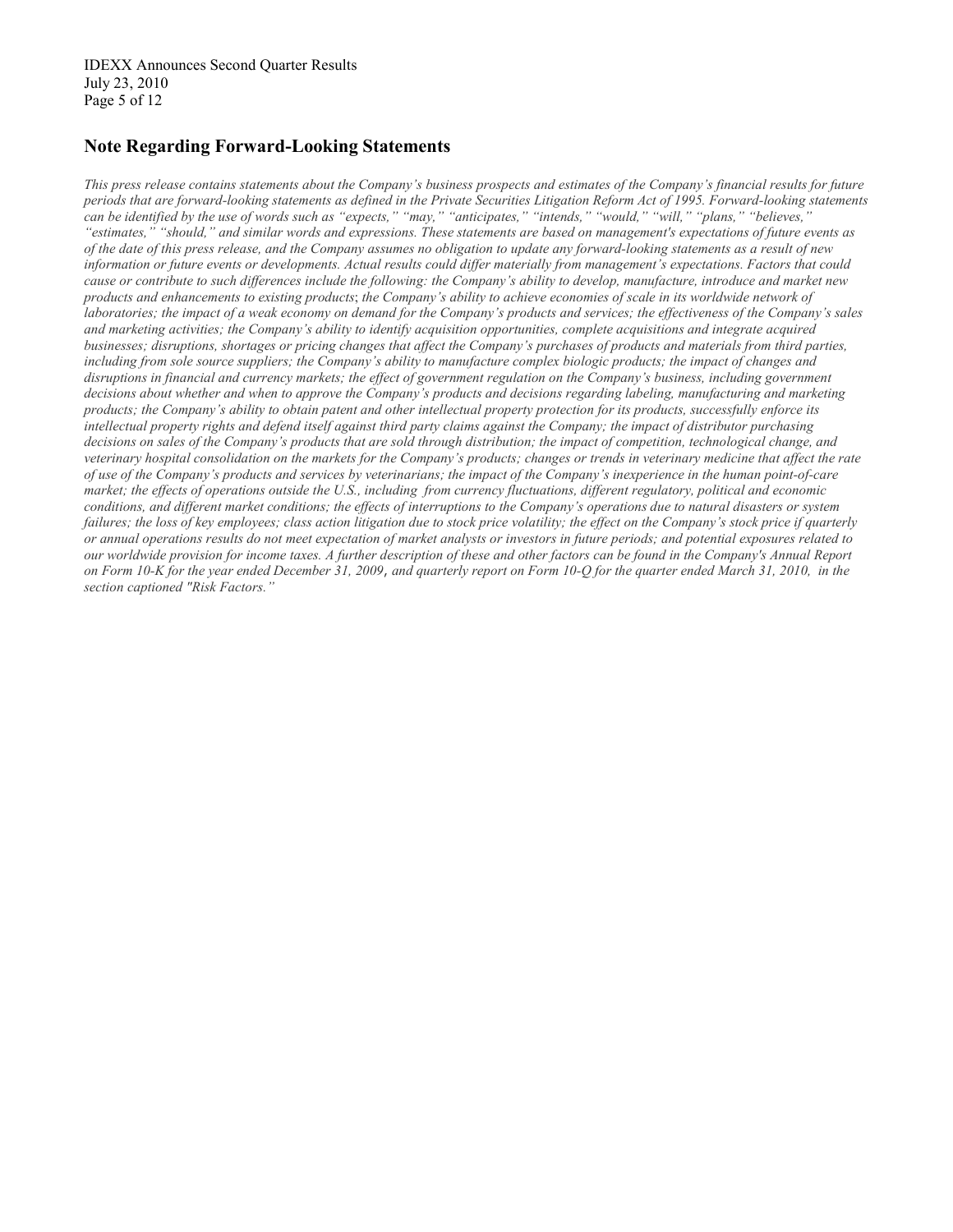# **Note Regarding Forward-Looking Statements**

*This press release contains statements about the Company's business prospects and estimates of the Company's financial results for future periods that are forward-looking statements as defined in the Private Securities Litigation Reform Act of 1995. Forward-looking statements can be identified by the use of words such as "expects," "may," "anticipates," "intends," "would," "will," "plans," "believes," "estimates," "should," and similar words and expressions. These statements are based on management's expectations of future events as of the date of this press release, and the Company assumes no obligation to update any forward-looking statements as a result of new information or future events or developments. Actual results could differ materially from management's expectations. Factors that could cause or contribute to such differences include the following: the Company's ability to develop, manufacture, introduce and market new products and enhancements to existing products*; *the Company's ability to achieve economies of scale in its worldwide network of laboratories; the impact of a weak economy on demand for the Company's products and services; the effectiveness of the Company's sales and marketing activities; the Company's ability to identify acquisition opportunities, complete acquisitions and integrate acquired businesses; disruptions, shortages or pricing changes that affect the Company's purchases of products and materials from third parties, including from sole source suppliers; the Company's ability to manufacture complex biologic products; the impact of changes and disruptions in financial and currency markets; the effect of government regulation on the Company's business, including government decisions about whether and when to approve the Company's products and decisions regarding labeling, manufacturing and marketing products; the Company's ability to obtain patent and other intellectual property protection for its products, successfully enforce its intellectual property rights and defend itself against third party claims against the Company; the impact of distributor purchasing decisions on sales of the Company's products that are sold through distribution; the impact of competition, technological change, and veterinary hospital consolidation on the markets for the Company's products; changes or trends in veterinary medicine that affect the rate of use of the Company's products and services by veterinarians; the impact of the Company's inexperience in the human point-of-care market; the effects of operations outside the U.S., including from currency fluctuations, different regulatory, political and economic conditions, and different market conditions; the effects of interruptions to the Company's operations due to natural disasters or system failures; the loss of key employees; class action litigation due to stock price volatility; the effect on the Company's stock price if quarterly or annual operations results do not meet expectation of market analysts or investors in future periods; and potential exposures related to our worldwide provision for income taxes. A further description of these and other factors can be found in the Company's Annual Report on Form 10-K for the year ended December 31, 2009*, *and quarterly report on Form 10-Q for the quarter ended March 31, 2010, in the section captioned "Risk Factors."*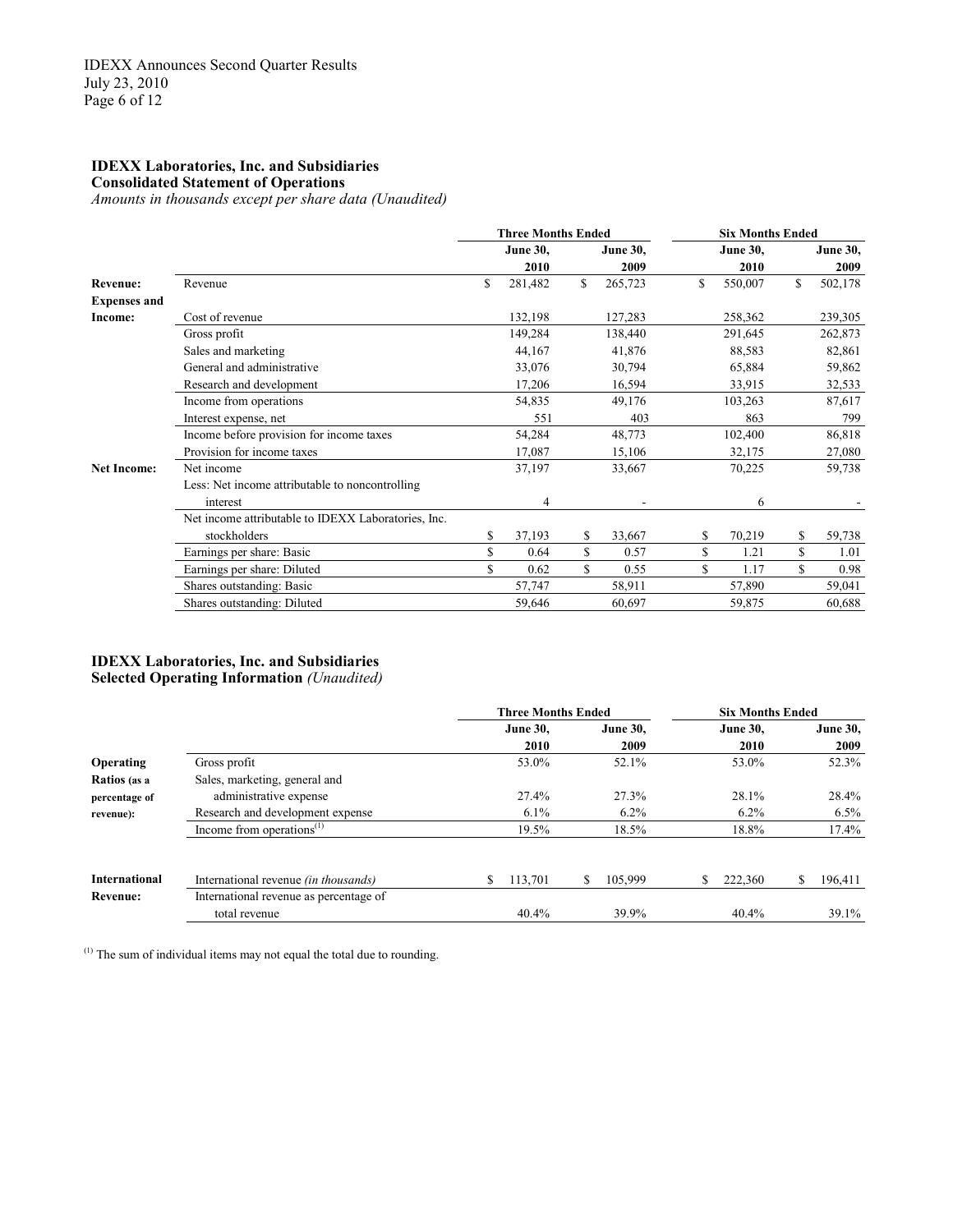# **IDEXX Laboratories, Inc. and Subsidiaries**

# **Consolidated Statement of Operations**

*Amounts in thousands except per share data (Unaudited)*

|                     |                                                     |    | <b>Three Months Ended</b> |                 | <b>Six Months Ended</b> |                 |
|---------------------|-----------------------------------------------------|----|---------------------------|-----------------|-------------------------|-----------------|
|                     |                                                     |    | <b>June 30,</b>           | <b>June 30,</b> | <b>June 30,</b>         | <b>June 30,</b> |
|                     |                                                     |    | 2010                      | 2009            | 2010                    | 2009            |
| Revenue:            | Revenue                                             | S  | 281,482                   | \$<br>265,723   | \$<br>550,007           | \$<br>502,178   |
| <b>Expenses and</b> |                                                     |    |                           |                 |                         |                 |
| Income:             | Cost of revenue                                     |    | 132,198                   | 127,283         | 258,362                 | 239,305         |
|                     | Gross profit                                        |    | 149,284                   | 138,440         | 291,645                 | 262,873         |
|                     | Sales and marketing                                 |    | 44,167                    | 41,876          | 88,583                  | 82,861          |
|                     | General and administrative                          |    | 33,076                    | 30,794          | 65,884                  | 59,862          |
|                     | Research and development                            |    | 17,206                    | 16,594          | 33,915                  | 32,533          |
|                     | Income from operations                              |    | 54,835                    | 49,176          | 103,263                 | 87,617          |
|                     | Interest expense, net                               |    | 551                       | 403             | 863                     | 799             |
|                     | Income before provision for income taxes            |    | 54,284                    | 48,773          | 102,400                 | 86,818          |
|                     | Provision for income taxes                          |    | 17,087                    | 15,106          | 32,175                  | 27,080          |
| <b>Net Income:</b>  | Net income                                          |    | 37,197                    | 33,667          | 70,225                  | 59,738          |
|                     | Less: Net income attributable to noncontrolling     |    |                           |                 |                         |                 |
|                     | interest                                            |    | 4                         |                 | 6                       |                 |
|                     | Net income attributable to IDEXX Laboratories, Inc. |    |                           |                 |                         |                 |
|                     | stockholders                                        | \$ | 37,193                    | 33,667          | \$<br>70,219            | \$<br>59,738    |
|                     | Earnings per share: Basic                           | \$ | 0.64                      | \$<br>0.57      | \$<br>1.21              | \$<br>1.01      |
|                     | Earnings per share: Diluted                         | S  | 0.62                      | \$<br>0.55      | 1.17                    | \$<br>0.98      |
|                     | Shares outstanding: Basic                           |    | 57,747                    | 58,911          | 57,890                  | 59,041          |
|                     | Shares outstanding: Diluted                         |    | 59,646                    | 60,697          | 59,875                  | 60,688          |

#### **IDEXX Laboratories, Inc. and Subsidiaries Selected Operating Information** *(Unaudited)*

|                      |                                        | <b>Three Months Ended</b> |    |                 |    | <b>Six Months Ended</b> |                 |
|----------------------|----------------------------------------|---------------------------|----|-----------------|----|-------------------------|-----------------|
|                      |                                        | <b>June 30,</b>           |    | <b>June 30,</b> |    | <b>June 30,</b>         | <b>June 30,</b> |
|                      |                                        | 2010                      |    | 2009            |    | 2010                    | 2009            |
| Operating            | Gross profit                           | 53.0%                     |    | 52.1%           |    | 53.0%                   | 52.3%           |
| Ratios (as a         | Sales, marketing, general and          |                           |    |                 |    |                         |                 |
| percentage of        | administrative expense                 | 27.4%                     |    | 27.3%           |    | 28.1%                   | 28.4%           |
| revenue):            | Research and development expense       | $6.1\%$                   |    | $6.2\%$         |    | $6.2\%$                 | 6.5%            |
|                      | Income from operations $^{(1)}$        | 19.5%                     |    | 18.5%           |    | 18.8%                   | 17.4%           |
| <b>International</b> | International revenue (in thousands)   | \$<br>113,701             | S. | 105,999         | S. | 222,360                 | \$<br>196,411   |
| <b>Revenue:</b>      | International revenue as percentage of |                           |    |                 |    |                         |                 |
|                      | total revenue                          | 40.4%                     |    | 39.9%           |    | 40.4%                   | 39.1%           |

(1) The sum of individual items may not equal the total due to rounding.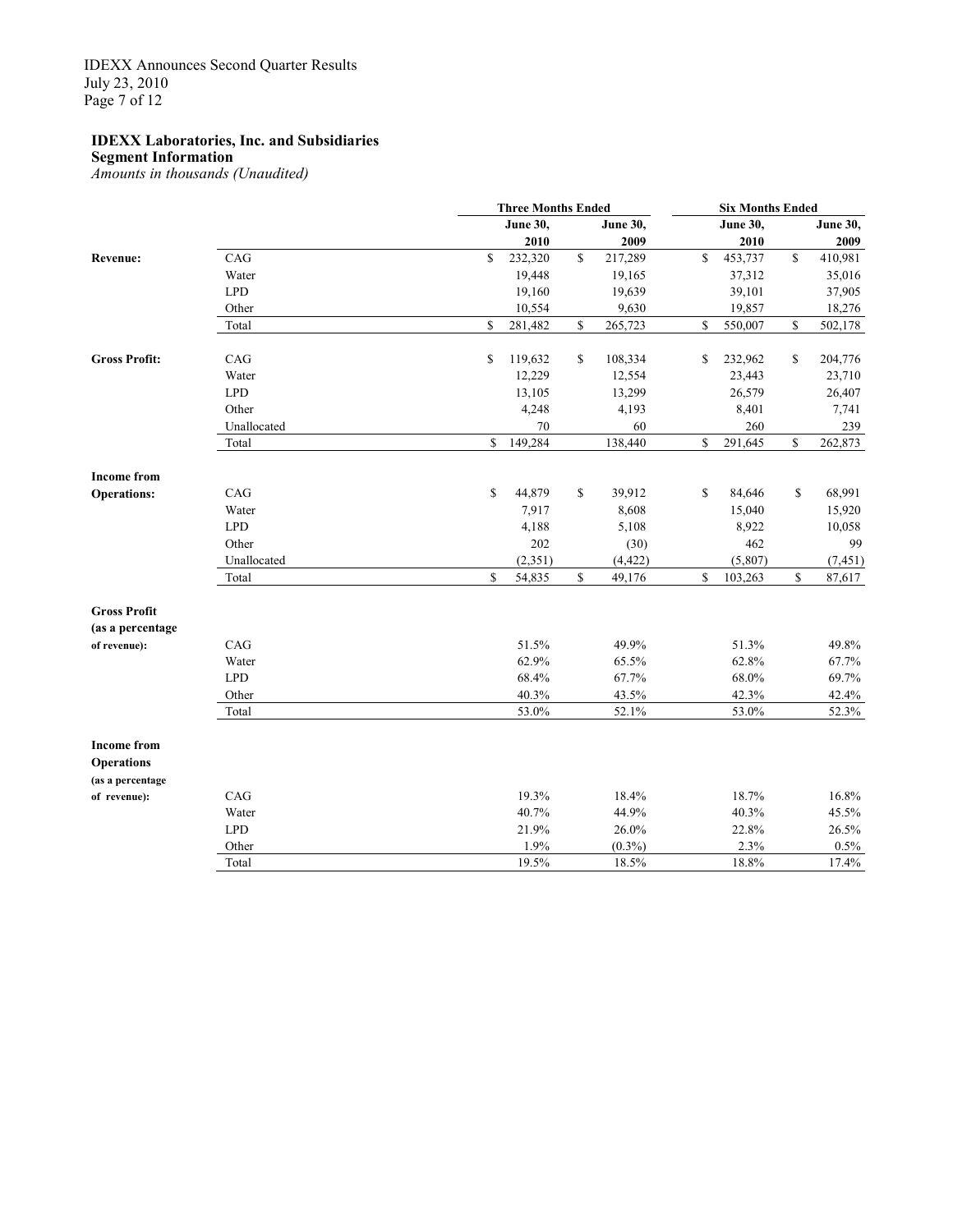IDEXX Announces Second Quarter Results July 23, 2010 Page 7 of 12

#### **IDEXX Laboratories, Inc. and Subsidiaries**

**Segment Information**

*Amounts in thousands (Unaudited)*

|                      |             |               | <b>Three Months Ended</b> |              |                 |             | <b>Six Months Ended</b> |              |                 |
|----------------------|-------------|---------------|---------------------------|--------------|-----------------|-------------|-------------------------|--------------|-----------------|
|                      |             |               | <b>June 30,</b>           |              | <b>June 30,</b> |             | <b>June 30,</b>         |              | <b>June 30,</b> |
|                      |             |               | 2010                      |              | 2009            |             | 2010                    |              | 2009            |
| <b>Revenue:</b>      | CAG         | $\mathbf S$   | 232,320                   | $\mathbb{S}$ | 217,289         | \$          | 453,737                 | $\mathbb{S}$ | 410,981         |
|                      | Water       |               | 19,448                    |              | 19,165          |             | 37,312                  |              | 35,016          |
|                      | <b>LPD</b>  |               | 19,160                    |              | 19,639          |             | 39,101                  |              | 37,905          |
|                      | Other       |               | 10,554                    |              | 9,630           |             | 19,857                  |              | 18,276          |
|                      | Total       | <sup>\$</sup> | 281,482                   | S            | 265,723         | $\mathbf S$ | 550,007                 | \$           | 502,178         |
| <b>Gross Profit:</b> | CAG         | $\mathbf S$   | 119,632                   | $\mathbb{S}$ | 108,334         | \$          | 232,962                 | \$           | 204,776         |
|                      | Water       |               | 12,229                    |              | 12,554          |             | 23,443                  |              | 23,710          |
|                      | <b>LPD</b>  |               | 13,105                    |              | 13,299          |             | 26,579                  |              | 26,407          |
|                      | Other       |               | 4,248                     |              | 4,193           |             | 8,401                   |              | 7,741           |
|                      | Unallocated |               | 70                        |              | 60              |             | 260                     |              | 239             |
|                      | Total       | $\mathbf S$   | 149,284                   |              | 138,440         | $\mathbf S$ | 291,645                 | $\mathbf S$  | 262,873         |
| <b>Income from</b>   |             |               |                           |              |                 |             |                         |              |                 |
| <b>Operations:</b>   | CAG         | \$            | 44,879                    | \$           | 39,912          | \$          | 84,646                  | \$           | 68,991          |
|                      | Water       |               | 7,917                     |              | 8,608           |             | 15,040                  |              | 15,920          |
|                      | <b>LPD</b>  |               | 4,188                     |              | 5,108           |             | 8,922                   |              | 10,058          |
|                      | Other       |               | 202                       |              | (30)            |             | 462                     |              | 99              |
|                      | Unallocated |               | (2,351)                   |              | (4, 422)        |             | (5,807)                 |              | (7, 451)        |
|                      | Total       | $\mathbf S$   | 54,835                    | $\mathbf S$  | 49,176          | $\mathbf S$ | 103,263                 | $\mathbb{S}$ | 87,617          |
| <b>Gross Profit</b>  |             |               |                           |              |                 |             |                         |              |                 |
| (as a percentage     |             |               |                           |              |                 |             |                         |              |                 |
| of revenue):         | CAG         |               | 51.5%                     |              | 49.9%           |             | 51.3%                   |              | 49.8%           |
|                      | Water       |               | 62.9%                     |              | 65.5%           |             | 62.8%                   |              | 67.7%           |
|                      | <b>LPD</b>  |               | 68.4%                     |              | 67.7%           |             | 68.0%                   |              | 69.7%           |
|                      | Other       |               | 40.3%                     |              | 43.5%           |             | 42.3%                   |              | 42.4%           |
|                      | Total       |               | 53.0%                     |              | 52.1%           |             | 53.0%                   |              | 52.3%           |
| <b>Income from</b>   |             |               |                           |              |                 |             |                         |              |                 |
| <b>Operations</b>    |             |               |                           |              |                 |             |                         |              |                 |
| (as a percentage     |             |               |                           |              |                 |             |                         |              |                 |
| of revenue):         | CAG         |               | 19.3%                     |              | 18.4%           |             | 18.7%                   |              | 16.8%           |
|                      | Water       |               | 40.7%                     |              | 44.9%           |             | 40.3%                   |              | 45.5%           |
|                      | <b>LPD</b>  |               | 21.9%                     |              | 26.0%           |             | 22.8%                   |              | 26.5%           |
|                      | Other       |               | 1.9%                      |              | $(0.3\%)$       |             | 2.3%                    |              | 0.5%            |
|                      | Total       |               | 19.5%                     |              | 18.5%           |             | 18.8%                   |              | 17.4%           |
|                      |             |               |                           |              |                 |             |                         |              |                 |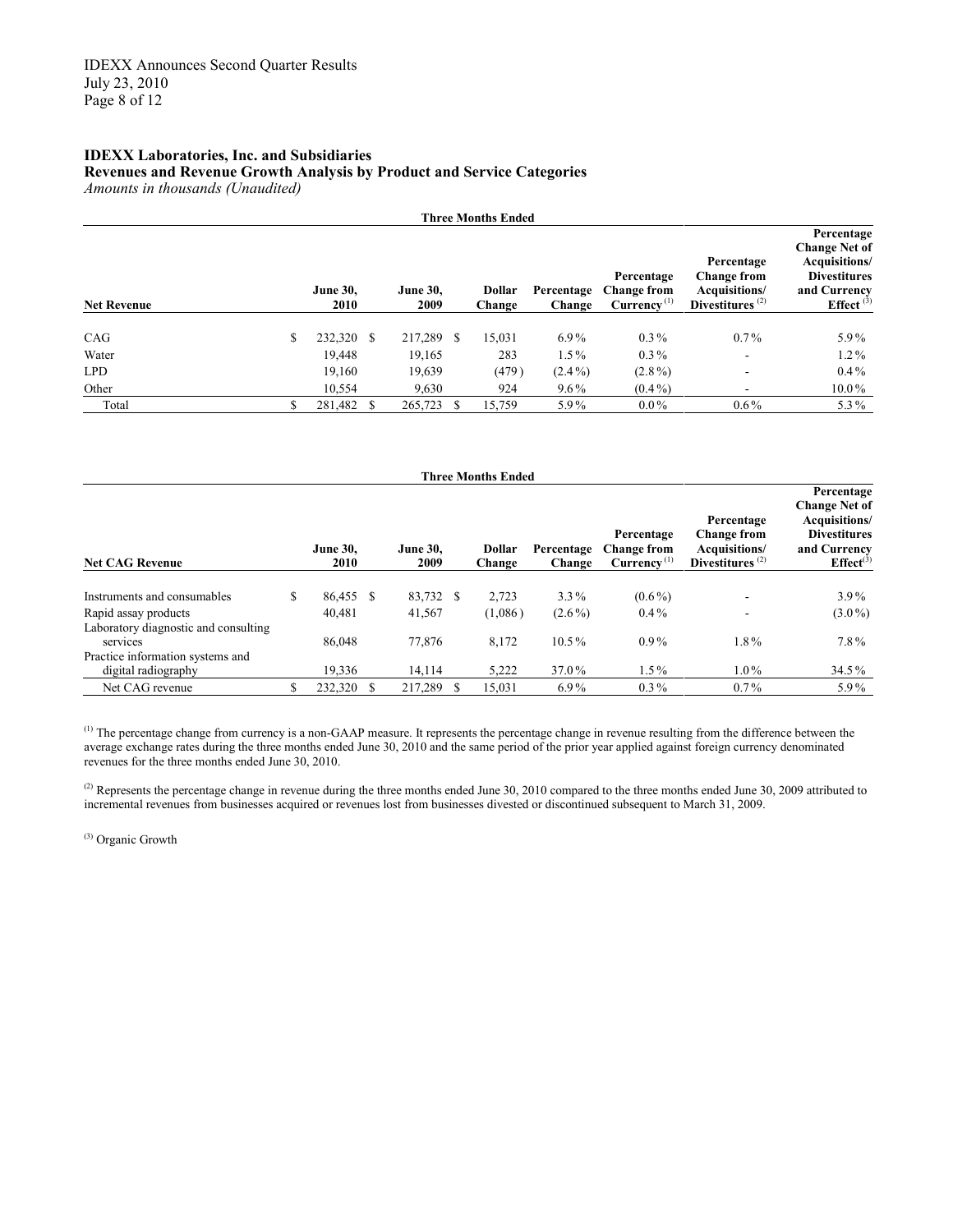### **IDEXX Laboratories, Inc. and Subsidiaries Revenues and Revenue Growth Analysis by Product and Service Categories**

*Amounts in thousands (Unaudited)*

| <b>Three Months Ended</b> |   |                         |    |                         |    |                         |                      |                                                               |                                                                         |                                                                                                            |  |
|---------------------------|---|-------------------------|----|-------------------------|----|-------------------------|----------------------|---------------------------------------------------------------|-------------------------------------------------------------------------|------------------------------------------------------------------------------------------------------------|--|
| <b>Net Revenue</b>        |   | <b>June 30,</b><br>2010 |    | <b>June 30,</b><br>2009 |    | <b>Dollar</b><br>Change | Percentage<br>Change | Percentage<br><b>Change from</b><br>$Currence$ <sup>(1)</sup> | Percentage<br><b>Change from</b><br>Acquisitions/<br>Divestitures $(2)$ | Percentage<br><b>Change Net of</b><br>Acquisitions/<br><b>Divestitures</b><br>and Currency<br>Effect $(3)$ |  |
| CAG                       | S | 232,320                 | -S | 217,289                 | -S | 15,031                  | $6.9\%$              | $0.3\%$                                                       | $0.7\%$                                                                 | 5.9%                                                                                                       |  |
| Water                     |   | 19,448                  |    | 19,165                  |    | 283                     | $1.5\%$              | $0.3\%$                                                       | ۰                                                                       | $1.2\%$                                                                                                    |  |
| <b>LPD</b>                |   | 19,160                  |    | 19,639                  |    | (479)                   | $(2.4\%)$            | $(2.8\%)$                                                     | ۰                                                                       | $0.4\%$                                                                                                    |  |
| Other                     |   | 10.554                  |    | 9,630                   |    | 924                     | $9.6\%$              | $(0.4\%)$                                                     |                                                                         | $10.0\%$                                                                                                   |  |
| Total                     |   | 281,482                 | -S | 265,723                 |    | 15,759                  | 5.9%                 | $0.0\%$                                                       | $0.6\%$                                                                 | 5.3%                                                                                                       |  |

|                                                              | <b>Three Months Ended</b> |                         |    |                         |    |                         |                      |                                                             |                                                                         |                                                                                                                        |  |  |  |  |
|--------------------------------------------------------------|---------------------------|-------------------------|----|-------------------------|----|-------------------------|----------------------|-------------------------------------------------------------|-------------------------------------------------------------------------|------------------------------------------------------------------------------------------------------------------------|--|--|--|--|
| <b>Net CAG Revenue</b>                                       |                           | <b>June 30.</b><br>2010 |    | <b>June 30.</b><br>2009 |    | <b>Dollar</b><br>Change | Percentage<br>Change | Percentage<br><b>Change from</b><br>Currence <sup>(1)</sup> | Percentage<br><b>Change from</b><br>Acquisitions/<br>Divestitures $(2)$ | Percentage<br><b>Change Net of</b><br>Acquisitions/<br><b>Divestitures</b><br>and Currency<br>$E$ ffect <sup>(3)</sup> |  |  |  |  |
| Instruments and consumables                                  | \$                        | 86,455                  | -S | 83,732                  | -S | 2,723                   | $3.3\%$              | $(0.6\%)$                                                   |                                                                         | $3.9\%$                                                                                                                |  |  |  |  |
| Rapid assay products<br>Laboratory diagnostic and consulting |                           | 40,481                  |    | 41,567                  |    | (1,086)                 | $(2.6\%)$            | $0.4\%$                                                     |                                                                         | $(3.0\%)$                                                                                                              |  |  |  |  |
| services<br>Practice information systems and                 |                           | 86,048                  |    | 77,876                  |    | 8,172                   | $10.5\%$             | $0.9\%$                                                     | 1.8%                                                                    | $7.8\%$                                                                                                                |  |  |  |  |
| digital radiography                                          |                           | 19,336                  |    | 14.114                  |    | 5,222                   | 37.0%                | $1.5\%$                                                     | $1.0\%$                                                                 | 34.5%                                                                                                                  |  |  |  |  |
| Net CAG revenue                                              | S                         | 232,320                 |    | 217.289                 |    | 15,031                  | $6.9\%$              | $0.3\%$                                                     | $0.7\%$                                                                 | 5.9%                                                                                                                   |  |  |  |  |

 $<sup>(1)</sup>$  The percentage change from currency is a non-GAAP measure. It represents the percentage change in revenue resulting from the difference between the</sup> average exchange rates during the three months ended June 30, 2010 and the same period of the prior year applied against foreign currency denominated revenues for the three months ended June 30, 2010.

 $^{(2)}$  Represents the percentage change in revenue during the three months ended June 30, 2010 compared to the three months ended June 30, 2009 attributed to incremental revenues from businesses acquired or revenues lost from businesses divested or discontinued subsequent to March 31, 2009.

(3) Organic Growth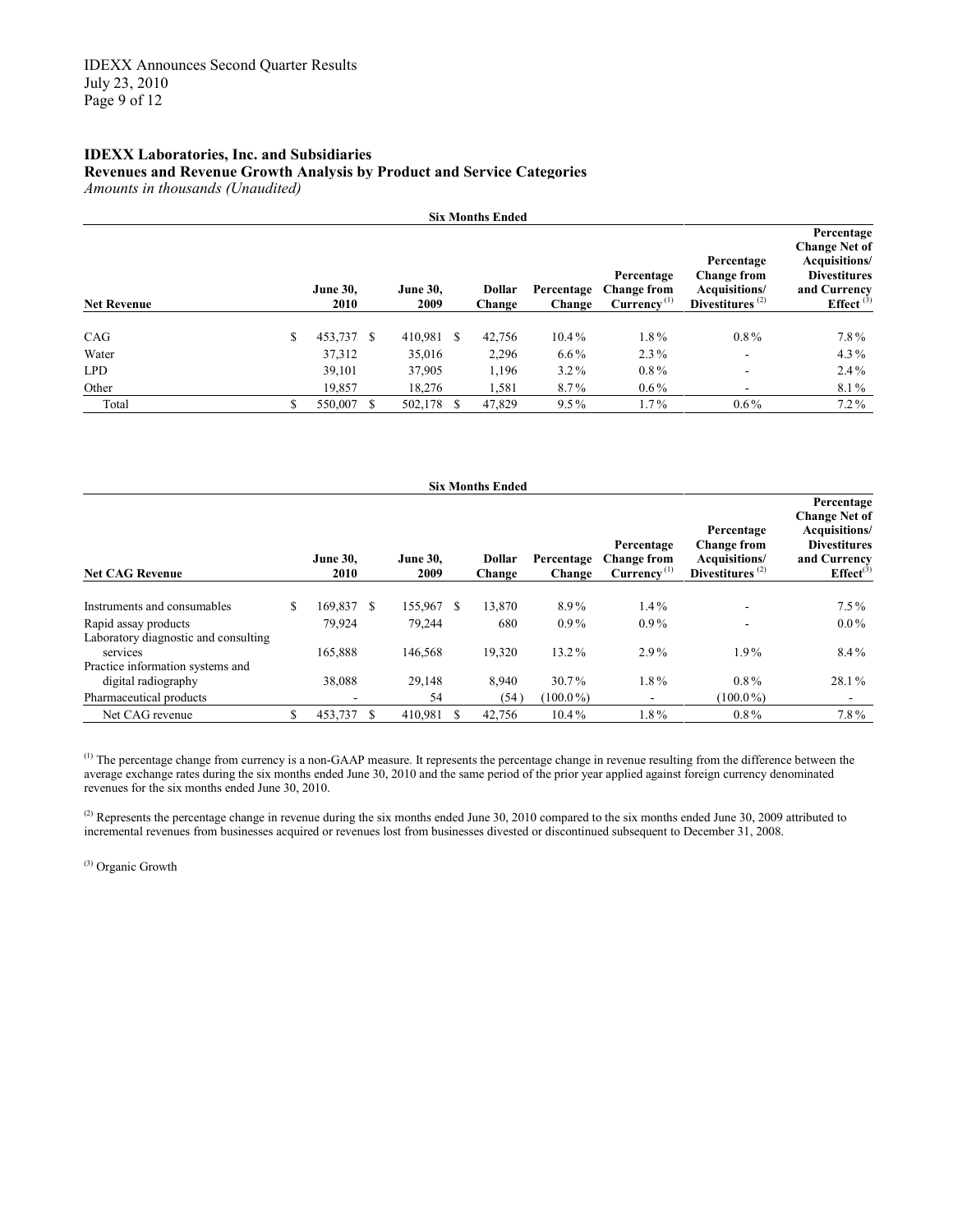#### **IDEXX Laboratories, Inc. and Subsidiaries Revenues and Revenue Growth Analysis by Product and Service Categories** *Amounts in thousands (Unaudited)*

|                    | <b>Six Months Ended</b> |                         |  |                         |      |                         |                      |                                                      |                                                                         |                                                                                                            |  |  |
|--------------------|-------------------------|-------------------------|--|-------------------------|------|-------------------------|----------------------|------------------------------------------------------|-------------------------------------------------------------------------|------------------------------------------------------------------------------------------------------------|--|--|
| <b>Net Revenue</b> |                         | <b>June 30,</b><br>2010 |  | <b>June 30,</b><br>2009 |      | <b>Dollar</b><br>Change | Percentage<br>Change | Percentage<br><b>Change from</b><br>$Curreney^{(1)}$ | Percentage<br><b>Change from</b><br>Acquisitions/<br>Divestitures $(2)$ | Percentage<br><b>Change Net of</b><br>Acquisitions/<br><b>Divestitures</b><br>and Currency<br>Effect $(3)$ |  |  |
| CAG                | \$                      | 453,737 \$              |  | 410,981                 | - \$ | 42,756                  | $10.4\%$             | $1.8\%$                                              | $0.8\%$                                                                 | $7.8\%$                                                                                                    |  |  |
| Water              |                         | 37,312                  |  | 35,016                  |      | 2,296                   | $6.6\%$              | $2.3\%$                                              | ۰                                                                       | $4.3\%$                                                                                                    |  |  |
| <b>LPD</b>         |                         | 39,101                  |  | 37,905                  |      | 1,196                   | $3.2\%$              | $0.8\%$                                              | $\overline{\phantom{a}}$                                                | $2.4\%$                                                                                                    |  |  |
| Other              |                         | 19,857                  |  | 18,276                  |      | 1.581                   | $8.7\%$              | $0.6\%$                                              |                                                                         | $8.1\%$                                                                                                    |  |  |
| Total              |                         | 550,007                 |  | 502,178                 |      | 47,829                  | $9.5\%$              | $1.7\%$                                              | $0.6\%$                                                                 | $7.2\%$                                                                                                    |  |  |

|                                                         |    |                         |    |                         |   | <b>Six Months Ended</b> |                      |                                                            |                                                                         |                                                                                                                     |
|---------------------------------------------------------|----|-------------------------|----|-------------------------|---|-------------------------|----------------------|------------------------------------------------------------|-------------------------------------------------------------------------|---------------------------------------------------------------------------------------------------------------------|
| <b>Net CAG Revenue</b>                                  |    | <b>June 30.</b><br>2010 |    | <b>June 30.</b><br>2009 |   | <b>Dollar</b><br>Change | Percentage<br>Change | Percentage<br><b>Change from</b><br>Current <sup>(1)</sup> | Percentage<br><b>Change from</b><br>Acquisitions/<br>Divestitures $(2)$ | Percentage<br><b>Change Net of</b><br>Acquisitions/<br><b>Divestitures</b><br>and Currency<br>Effect <sup>(3)</sup> |
| Instruments and consumables                             | S. | 169,837                 | -S | 155,967                 | S | 13,870                  | 8.9%                 | $1.4\%$                                                    |                                                                         | $7.5\%$                                                                                                             |
| Rapid assay products                                    |    | 79.924                  |    | 79.244                  |   | 680                     | $0.9\%$              | $0.9\%$                                                    |                                                                         | $0.0\%$                                                                                                             |
| Laboratory diagnostic and consulting<br>services        |    | 165,888                 |    | 146,568                 |   | 19,320                  | 13.2%                | $2.9\%$                                                    | $1.9\%$                                                                 | 8.4%                                                                                                                |
| Practice information systems and<br>digital radiography |    | 38,088                  |    | 29,148                  |   | 8,940                   | 30.7%                | $1.8\%$                                                    | $0.8\%$                                                                 | 28.1%                                                                                                               |
| Pharmaceutical products                                 |    |                         |    | 54                      |   | (54)                    | $(100.0\%)$          |                                                            | $(100.0\%)$                                                             | ۰                                                                                                                   |
| Net CAG revenue                                         | \$ | 453,737                 | S  | 410,981                 |   | 42,756                  | $10.4\%$             | $1.8\%$                                                    | $0.8\%$                                                                 | 7.8%                                                                                                                |

 $(1)$  The percentage change from currency is a non-GAAP measure. It represents the percentage change in revenue resulting from the difference between the average exchange rates during the six months ended June 30, 2010 and the same period of the prior year applied against foreign currency denominated revenues for the six months ended June 30, 2010.

<sup>(2)</sup> Represents the percentage change in revenue during the six months ended June 30, 2010 compared to the six months ended June 30, 2009 attributed to incremental revenues from businesses acquired or revenues lost from businesses divested or discontinued subsequent to December 31, 2008.

(3) Organic Growth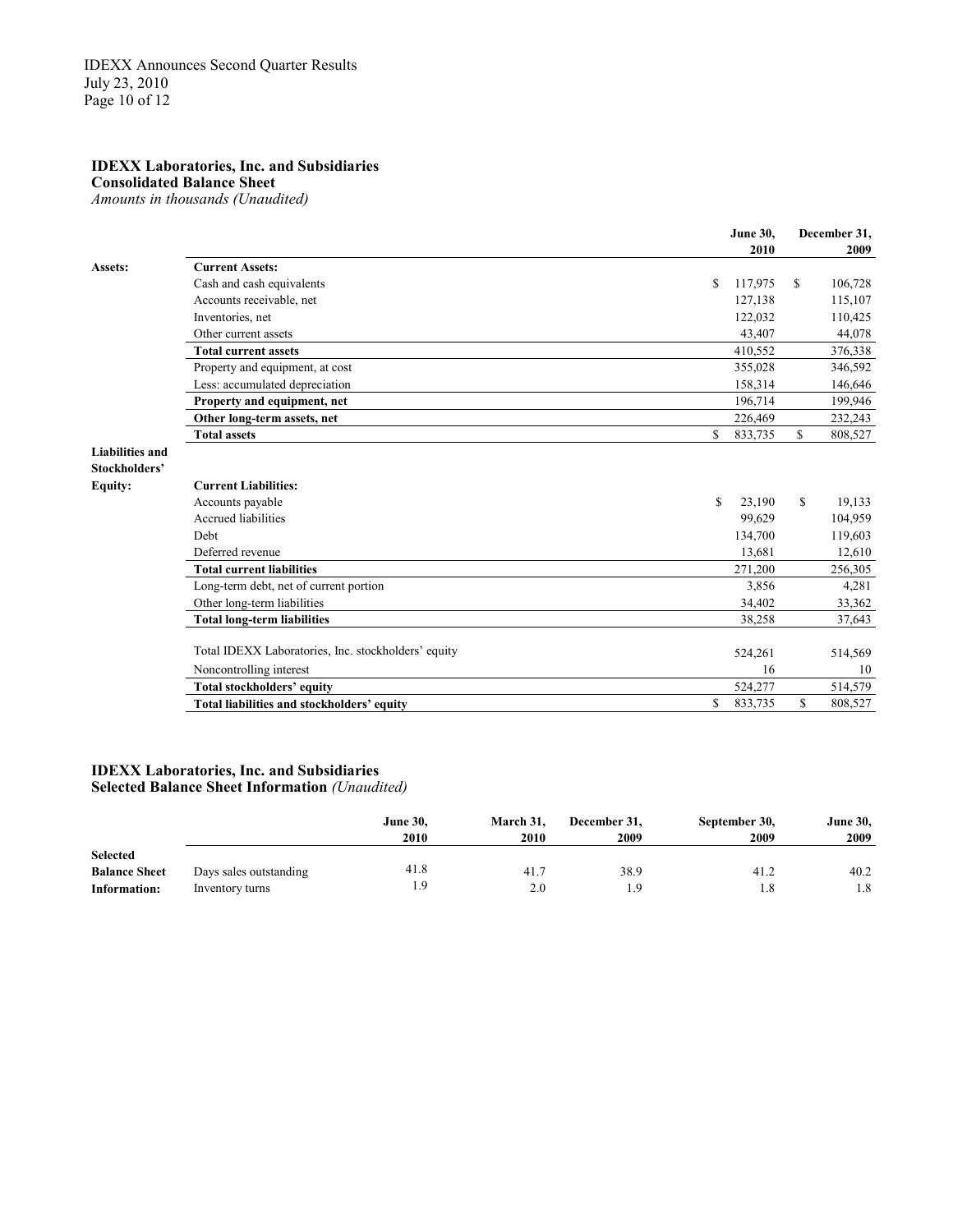### **IDEXX Laboratories, Inc. and Subsidiaries**

**Consolidated Balance Sheet**

*Amounts in thousands (Unaudited)*

|                        |                                                     | <b>June 30,</b> |    | December 31, |
|------------------------|-----------------------------------------------------|-----------------|----|--------------|
|                        |                                                     | 2010            |    | 2009         |
| Assets:                | <b>Current Assets:</b>                              |                 |    |              |
|                        | Cash and cash equivalents                           | \$<br>117,975   | S  | 106,728      |
|                        | Accounts receivable, net                            | 127,138         |    | 115,107      |
|                        | Inventories, net                                    | 122,032         |    | 110,425      |
|                        | Other current assets                                | 43.407          |    | 44,078       |
|                        | <b>Total current assets</b>                         | 410,552         |    | 376,338      |
|                        | Property and equipment, at cost                     | 355,028         |    | 346,592      |
|                        | Less: accumulated depreciation                      | 158,314         |    | 146,646      |
|                        | Property and equipment, net                         | 196.714         |    | 199,946      |
|                        | Other long-term assets, net                         | 226,469         |    | 232,243      |
|                        | <b>Total assets</b>                                 | \$<br>833,735   | \$ | 808,527      |
| <b>Liabilities and</b> |                                                     |                 |    |              |
| Stockholders'          |                                                     |                 |    |              |
| <b>Equity:</b>         | <b>Current Liabilities:</b>                         |                 |    |              |
|                        | Accounts payable                                    | \$<br>23,190    | \$ | 19,133       |
|                        | Accrued liabilities                                 | 99.629          |    | 104,959      |
|                        | Debt                                                | 134,700         |    | 119,603      |
|                        | Deferred revenue                                    | 13,681          |    | 12,610       |
|                        | <b>Total current liabilities</b>                    | 271,200         |    | 256,305      |
|                        | Long-term debt, net of current portion              | 3,856           |    | 4,281        |
|                        | Other long-term liabilities                         | 34,402          |    | 33,362       |
|                        | <b>Total long-term liabilities</b>                  | 38,258          |    | 37,643       |
|                        |                                                     |                 |    |              |
|                        | Total IDEXX Laboratories, Inc. stockholders' equity | 524,261         |    | 514,569      |
|                        | Noncontrolling interest                             | 16              |    | 10           |
|                        | Total stockholders' equity                          | 524,277         |    | 514,579      |
|                        | Total liabilities and stockholders' equity          | \$<br>833,735   | \$ | 808,527      |

#### **IDEXX Laboratories, Inc. and Subsidiaries Selected Balance Sheet Information** *(Unaudited)*

|                      |                        | <b>June 30.</b> | March 31. | December 31. | September 30, | <b>June 30,</b> |
|----------------------|------------------------|-----------------|-----------|--------------|---------------|-----------------|
|                      |                        | 2010            | 2010      | 2009         | 2009          | 2009            |
| <b>Selected</b>      |                        |                 |           |              |               |                 |
| <b>Balance Sheet</b> | Days sales outstanding | 41.8            | 41.7      | 38.9         | 41.2          | 40.2            |
| <b>Information:</b>  | Inventory turns        | <u>i</u> .9     | 2.0       | 0. ا         | 1.8           | 1.8             |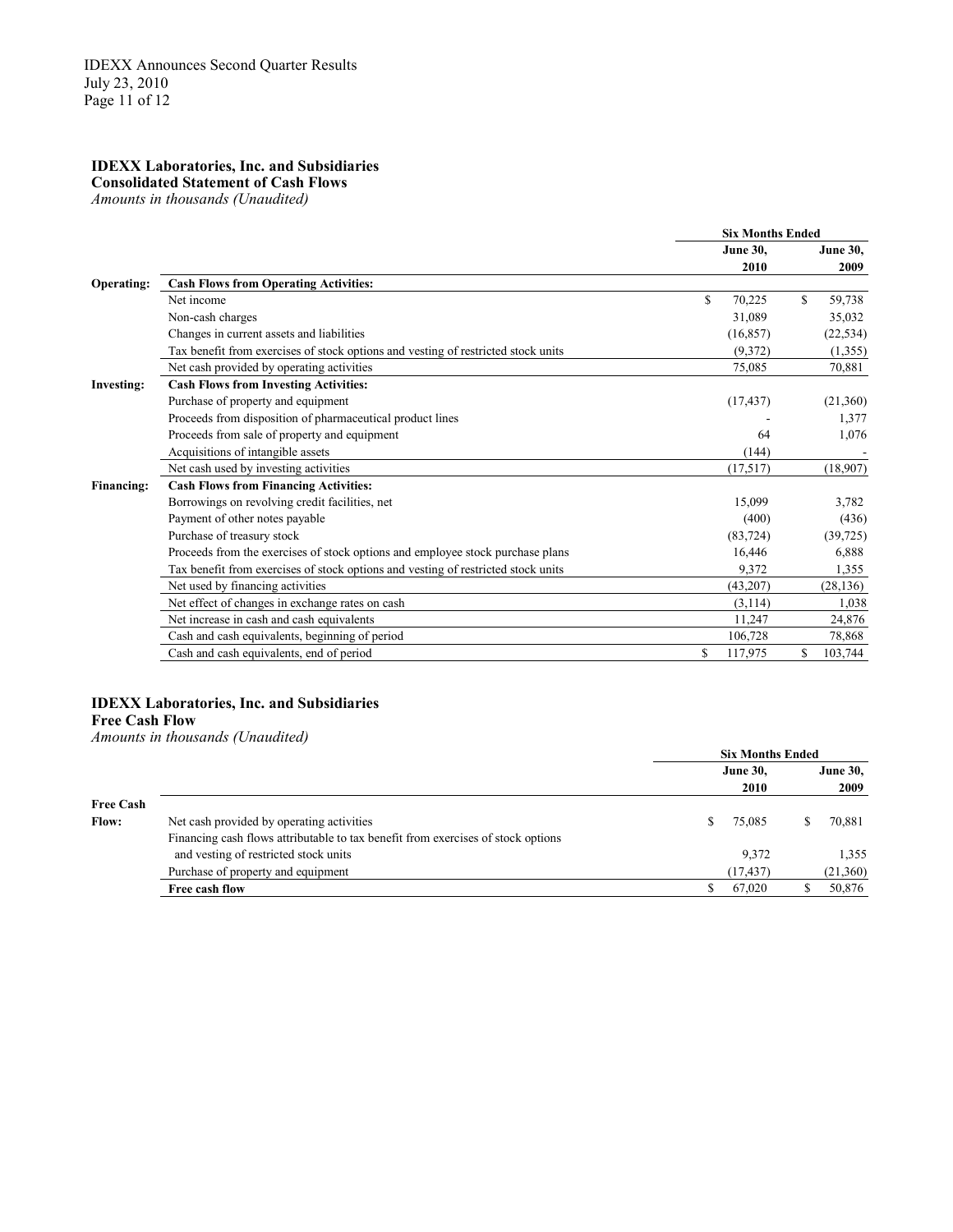# **IDEXX Laboratories, Inc. and Subsidiaries**

**Consolidated Statement of Cash Flows**

*Amounts in thousands (Unaudited)*

|                   |                                                                                   | <b>Six Months Ended</b> |                 |
|-------------------|-----------------------------------------------------------------------------------|-------------------------|-----------------|
|                   |                                                                                   | <b>June 30,</b>         | <b>June 30,</b> |
|                   |                                                                                   | 2010                    | 2009            |
| Operating:        | <b>Cash Flows from Operating Activities:</b>                                      |                         |                 |
|                   | Net income                                                                        | \$<br>70,225            | \$<br>59,738    |
|                   | Non-cash charges                                                                  | 31,089                  | 35,032          |
|                   | Changes in current assets and liabilities                                         | (16, 857)               | (22, 534)       |
|                   | Tax benefit from exercises of stock options and vesting of restricted stock units | (9,372)                 | (1,355)         |
|                   | Net cash provided by operating activities                                         | 75,085                  | 70,881          |
| <b>Investing:</b> | <b>Cash Flows from Investing Activities:</b>                                      |                         |                 |
|                   | Purchase of property and equipment                                                | (17, 437)               | (21,360)        |
|                   | Proceeds from disposition of pharmaceutical product lines                         |                         | 1,377           |
|                   | Proceeds from sale of property and equipment                                      | 64                      | 1,076           |
|                   | Acquisitions of intangible assets                                                 | (144)                   |                 |
|                   | Net cash used by investing activities                                             | (17,517)                | (18,907)        |
| <b>Financing:</b> | <b>Cash Flows from Financing Activities:</b>                                      |                         |                 |
|                   | Borrowings on revolving credit facilities, net                                    | 15,099                  | 3,782           |
|                   | Payment of other notes payable                                                    | (400)                   | (436)           |
|                   | Purchase of treasury stock                                                        | (83, 724)               | (39, 725)       |
|                   | Proceeds from the exercises of stock options and employee stock purchase plans    | 16,446                  | 6,888           |
|                   | Tax benefit from exercises of stock options and vesting of restricted stock units | 9.372                   | 1,355           |
|                   | Net used by financing activities                                                  | (43,207)                | (28, 136)       |
|                   | Net effect of changes in exchange rates on cash                                   | (3, 114)                | 1.038           |
|                   | Net increase in cash and cash equivalents                                         | 11,247                  | 24,876          |
|                   | Cash and cash equivalents, beginning of period                                    | 106,728                 | 78,868          |
|                   | Cash and cash equivalents, end of period                                          | \$<br>117,975           | \$<br>103,744   |
|                   |                                                                                   |                         |                 |

### **IDEXX Laboratories, Inc. and Subsidiaries**

#### **Free Cash Flow**

*Amounts in thousands (Unaudited)*

|                  |                                                                                  |                 | <b>Six Months Ended</b><br>2010<br>9.372 |                 |  |
|------------------|----------------------------------------------------------------------------------|-----------------|------------------------------------------|-----------------|--|
|                  |                                                                                  | <b>June 30,</b> |                                          | <b>June 30,</b> |  |
|                  |                                                                                  |                 |                                          | 2009            |  |
| <b>Free Cash</b> |                                                                                  |                 |                                          |                 |  |
| <b>Flow:</b>     | Net cash provided by operating activities                                        | 75,085          |                                          | 70,881          |  |
|                  | Financing cash flows attributable to tax benefit from exercises of stock options |                 |                                          |                 |  |
|                  | and vesting of restricted stock units                                            |                 |                                          | 1.355           |  |
|                  | Purchase of property and equipment                                               | (17, 437)       |                                          | (21,360)        |  |
|                  | Free cash flow                                                                   | 67.020          |                                          | 50,876          |  |